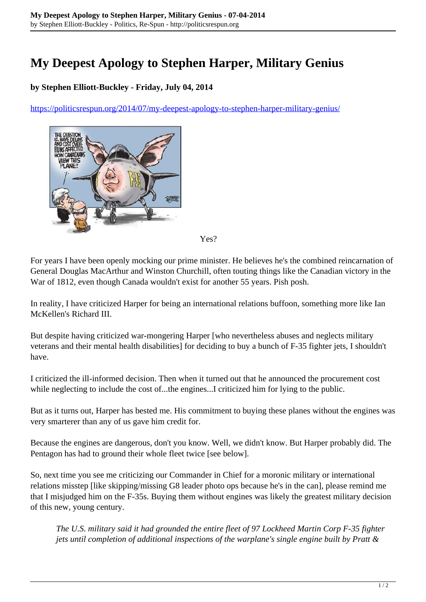## **My Deepest Apology to Stephen Harper, Military Genius**

## **by Stephen Elliott-Buckley - Friday, July 04, 2014**

<https://politicsrespun.org/2014/07/my-deepest-apology-to-stephen-harper-military-genius/>



Yes?

For years I have been openly mocking our prime minister. He believes he's the combined reincarnation of General Douglas MacArthur and Winston Churchill, often touting things like the Canadian victory in the War of 1812, even though Canada wouldn't exist for another 55 years. Pish posh.

In reality, I have criticized Harper for being an international relations buffoon, something more like Ian McKellen's Richard III.

But despite having criticized war-mongering Harper [who nevertheless abuses and neglects military veterans and their mental health disabilities] for deciding to buy a bunch of F-35 fighter jets, I shouldn't have.

I criticized the ill-informed decision. Then when it turned out that he announced the procurement cost while neglecting to include the cost of...the engines...I criticized him for lying to the public.

But as it turns out, Harper has bested me. His commitment to buying these planes without the engines was very smarterer than any of us gave him credit for.

Because the engines are dangerous, don't you know. Well, we didn't know. But Harper probably did. The Pentagon has had to ground their whole fleet twice [see below].

So, next time you see me criticizing our Commander in Chief for a moronic military or international relations misstep [like skipping/missing G8 leader photo ops because he's in the can], please remind me that I misjudged him on the F-35s. Buying them without engines was likely the greatest military decision of this new, young century.

*The U.S. military said it had grounded the entire fleet of 97 Lockheed Martin Corp F-35 fighter jets until completion of additional inspections of the warplane's single engine built by Pratt &*